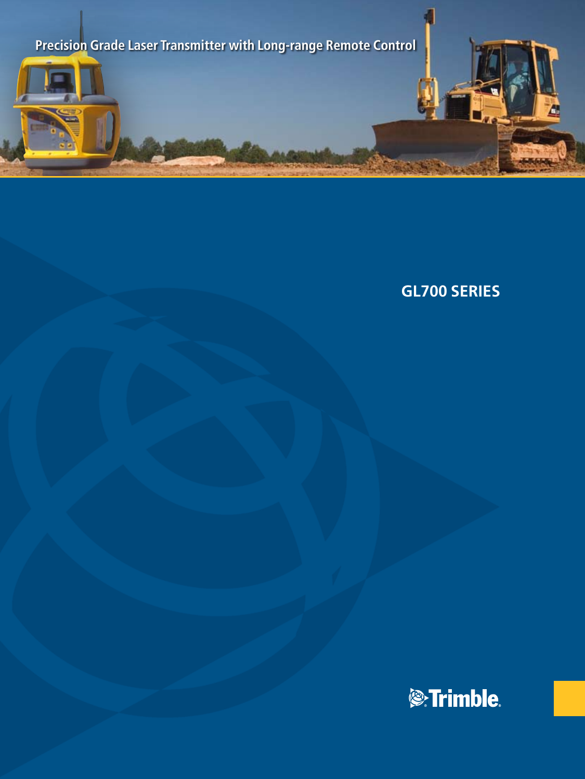

# **GL700 Series**

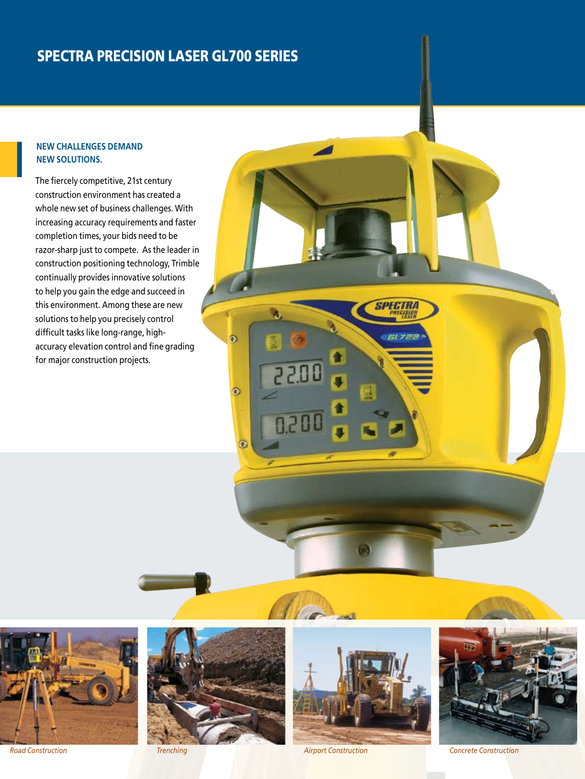# Spectra Precision Laser GL700 Series

### **New challenges demand new solutions.**

The fiercely competitive, 21st century construction environment has created a whole new set of business challenges. With increasing accuracy requirements and faster completion times, your bids need to be razor-sharp just to compete.As the leader in construction positioning technology, Trimble continually provides innovative solutions to help you gain the edge and succeed in this environment. Among these are new solutions to help you precisely control difficult tasks like long-range, highaccuracy elevation control and fine grading for major construction projects.





 $\ddot{\bullet}$ 

 $\bullet$ 

 $\overline{\mathbf{o}}$ 

22.00

 $0.201$ 



SPECIRA

61.722

*Road Construction Trenching Airport Construction Concrete Construction*

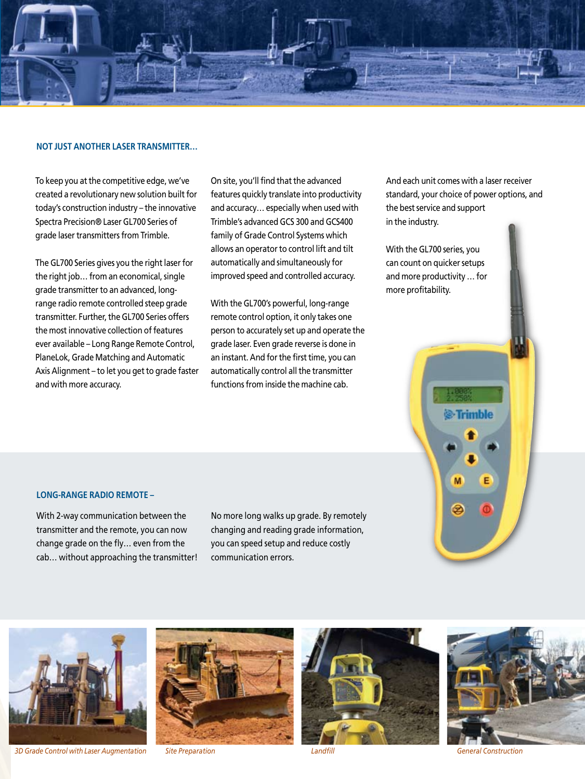

#### **Not just another laser transmitter…**

To keep you at the competitive edge, we've created a revolutionary new solution built for today's construction industry – the innovative Spectra Precision® Laser GL700 Series of grade laser transmitters from Trimble.

The GL700 Series gives you the right laser for the right job… from an economical, single grade transmitter to an advanced, longrange radio remote controlled steep grade transmitter. Further, the GL700 Series offers the most innovative collection of features ever available – Long Range Remote Control, PlaneLok, Grade Matching and Automatic Axis Alignment – to let you get to grade faster and with more accuracy.

On site, you'll find that the advanced features quickly translate into productivity and accuracy… especially when used with Trimble's advanced GCS 300 and GCS400 family of Grade Control Systems which allows an operator to control lift and tilt automatically and simultaneously for improved speed and controlled accuracy.

With the GL700's powerful, long-range remote control option, it only takes one person to accurately set up and operate the grade laser. Even grade reverse is done in an instant. And for the first time, you can automatically control all the transmitter functions from inside the machine cab.

And each unit comes with a laser receiver standard, your choice of power options, and the best service and support in the industry.

*S*-Trimble

M

ల

E

With the GL700 series, you can count on quicker setups and more productivity … for more profitability.

#### **Long-range Radio Remote –**

With 2-way communication between the transmitter and the remote, you can now change grade on the fly… even from the cab… without approaching the transmitter! No more long walks up grade. By remotely changing and reading grade information, you can speed setup and reduce costly communication errors.



*Concrete Construction 3D Grade Control with Laser Augmentation Site Preparation Landfill General Construction*





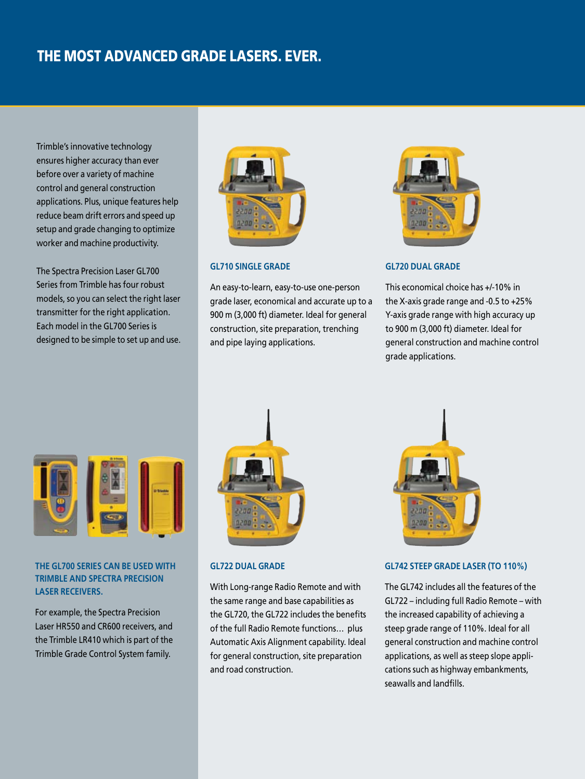## THE Most Advanced Grade Lasers. Ever.

Trimble's innovative technology ensures higher accuracy than ever before over a variety of machine control and general construction applications. Plus, unique features help reduce beam drift errors and speed up setup and grade changing to optimize worker and machine productivity.

The Spectra Precision Laser GL700 Series from Trimble has four robust models, so you can select the right laser transmitter for the right application. Each model in the GL700 Series is designed to be simple to set up and use.



#### **GL710 Single Grade**

An easy-to-learn, easy-to-use one-person grade laser, economical and accurate up to a 900 m (3,000 ft) diameter. Ideal for general construction, site preparation, trenching and pipe laying applications.



#### **GL720 Dual Grade**

This economical choice has +/-10% in the X-axis grade range and -0.5 to +25% Y-axis grade range with high accuracy up to 900 m (3,000 ft) diameter. Ideal for general construction and machine control grade applications.



#### **THE GL700 SERIES CAN BE USED WITH TRIMBLE AND SPECTRA PRECISION LASER RECEIVERS.**

For example, the Spectra Precision Laser HR550 and CR600 receivers, and the Trimble LR410 which is part of the Trimble Grade Control System family.



#### **GL722 Dual Grade**

With Long-range Radio Remote and with the same range and base capabilities as the GL720, the GL722 includes the benefits of the full Radio Remote functions… plus Automatic Axis Alignment capability. Ideal for general construction, site preparation and road construction.



#### **GL742 Steep Grade Laser (to 110%)**

The GL742 includes all the features of the GL722 – including full Radio Remote – with the increased capability of achieving a steep grade range of 110%. Ideal for all general construction and machine control applications, as well as steep slope applications such as highway embankments, seawalls and landfills.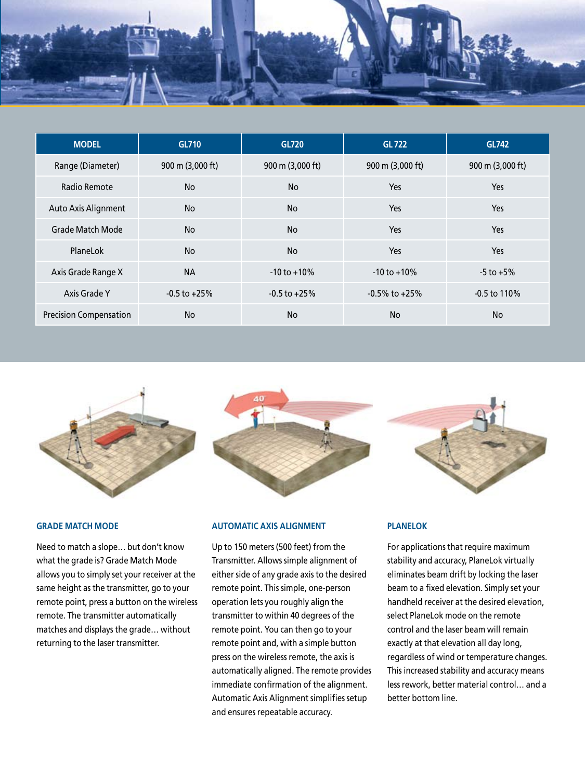

| <b>MODEL</b>                  | GL710            | GL720            | <b>GL722</b>               | GL742            |
|-------------------------------|------------------|------------------|----------------------------|------------------|
| Range (Diameter)              | 900 m (3,000 ft) | 900 m (3,000 ft) | 900 m $(3,000 \text{ ft})$ | 900 m (3,000 ft) |
| Radio Remote                  | <b>No</b>        | <b>No</b>        | Yes                        | Yes              |
| Auto Axis Alignment           | <b>No</b>        | <b>No</b>        | Yes                        | Yes              |
| <b>Grade Match Mode</b>       | <b>No</b>        | <b>No</b>        | Yes                        | Yes              |
| PlaneLok                      | <b>No</b>        | <b>No</b>        | Yes                        | <b>Yes</b>       |
| Axis Grade Range X            | <b>NA</b>        | $-10$ to $+10\%$ | $-10$ to $+10\%$           | $-5$ to $+5%$    |
| Axis Grade Y                  | $-0.5$ to $+25%$ | $-0.5$ to $+25%$ | $-0.5\%$ to $+25\%$        | $-0.5$ to 110%   |
| <b>Precision Compensation</b> | <b>No</b>        | <b>No</b>        | <b>No</b>                  | <b>No</b>        |



#### **Grade Match Mode**

Need to match a slope… but don't know what the grade is? Grade Match Mode allows you to simply set your receiver at the same height as the transmitter, go to your remote point, press a button on the wireless remote. The transmitter automatically matches and displays the grade… without returning to the laser transmitter.



#### **Automatic Axis Alignment**

Up to 150 meters (500 feet) from the Transmitter. Allows simple alignment of either side of any grade axis to the desired remote point. This simple, one-person operation lets you roughly align the transmitter to within 40 degrees of the remote point. You can then go to your remote point and, with a simple button press on the wireless remote, the axis is automatically aligned. The remote provides immediate confirmation of the alignment. Automatic Axis Alignment simplifies setup and ensures repeatable accuracy.



#### **PlaneLok**

For applications that require maximum stability and accuracy, PlaneLok virtually eliminates beam drift by locking the laser beam to a fixed elevation. Simply set your handheld receiver at the desired elevation, select PlaneLok mode on the remote control and the laser beam will remain exactly at that elevation all day long, regardless of wind or temperature changes. This increased stability and accuracy means less rework, better material control… and a better bottom line.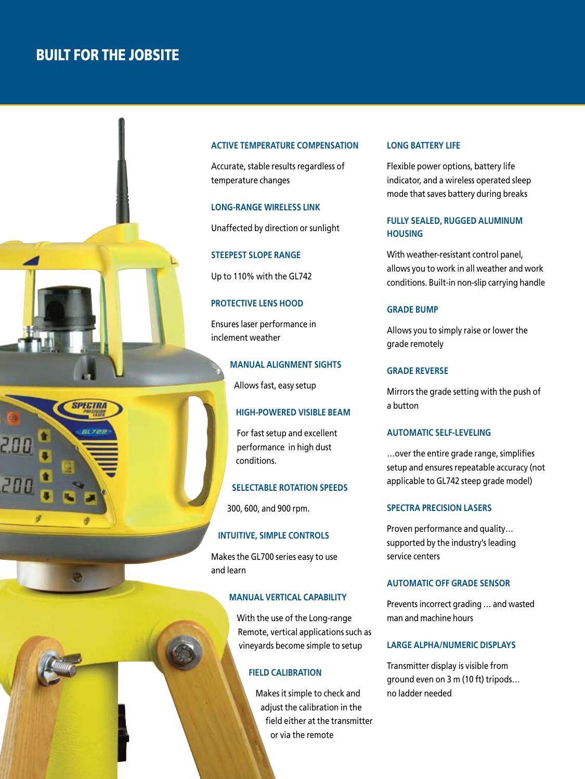### Built for the Jobsite





#### **ACTIVE TEMPERATURE COMPENSATION**

Accurate, stable results regardless of temperature changes

#### **LONG-RANGE WIRELESS LINK**

Unaffected by direction or sunlight

#### **STEEPEST SLOPE RANGE**

Up to 110% with the GL742

#### **PROTECTIVE LENS HOOD**

Ensures laser performance in inclement weather

### **MANUAL ALIGNMENT SIghts**

Allows fast, easy setup

#### **HIGH-POWERED VISIBLE BEAM**

For fast setup and excellent performance in high dust conditions.

#### **SELECTABLE ROTATION SPEEDS**

300, 600, and 900 rpm.

#### **INTUITIVE, SIMPLE CONTROLS**

Makes the GL700 series easy to use and learn

#### **MANUAL VERTICAL CAPABILITY**

With the use of the Long-range Remote, vertical applications such as vineyards become simple to setup

#### **FIELD CALIBRATION**

Makes it simple to check and adjust the calibration in the field either at the transmitter or via the remote

#### **LONG BATTERY LIFE**

Flexible power options, battery life indicator, and a wireless operated sleep mode that saves battery during breaks

#### **FULLY SEALED, RUGGED ALUMINUM HOUSING**

With weather-resistant control panel, allows you to work in all weather and work conditions. Built-in non-slip carrying handle

#### **GRADE BUMP**

Allows you to simply raise or lower the grade remotely

#### **GRADE REVERSE**

Mirrors the grade setting with the push of a button

#### **AUTOMATIC SELF-LEVELING**

…over the entire grade range, simplifies setup and ensures repeatable accuracy (not applicable to GL742 steep grade model)

#### **SPECTRA PRECISION LASERS**

Proven performance and quality… supported by the industry's leading service centers

#### **AUTOMATIC OFF GRADE SENSOR**

Prevents incorrect grading … and wasted man and machine hours

#### **LARGE ALPHA/NUMERIC DISPLAYS**

Transmitter display is visible from ground even on 3 m (10 ft) tripods… no ladder needed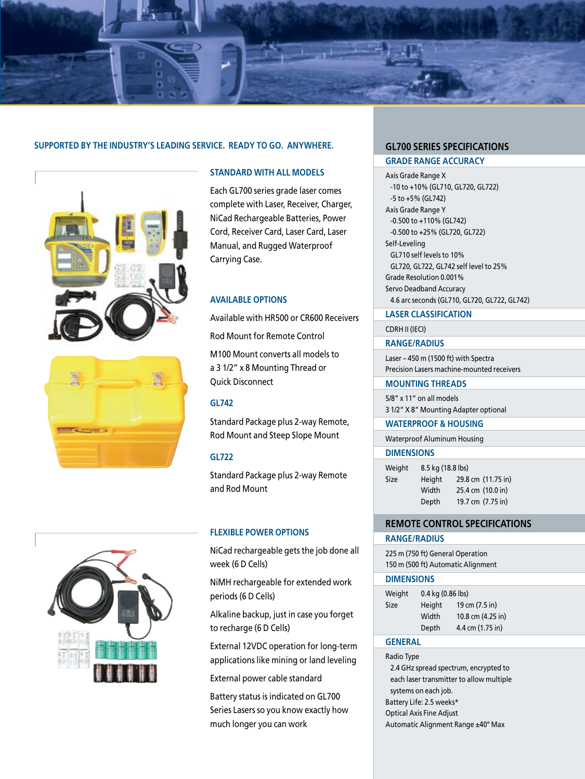

#### **SUPPORTED BY THE INDUSTRY'S LEADING SERVICE. Ready to go. Anywhere. GL700 Series Specifications**







#### **Standard with all models**

Each GL700 series grade laser comes complete with Laser, Receiver, Charger, NiCad Rechargeable Batteries, Power Cord, Receiver Card, Laser Card, Laser Manual, and Rugged Waterproof Carrying Case.

#### **Available Options**

Available with HR500 or CR600 Receivers

Rod Mount for Remote Control

M100 Mount converts all models to a 3 1/2" x 8 Mounting Thread or Quick Disconnect

#### **GL742**

Standard Package plus 2-way Remote, Rod Mount and Steep Slope Mount

#### **GL722**

Standard Package plus 2-way Remote and Rod Mount

#### **Flexible Power Options**

NiCad rechargeable gets the job done all week (6 D Cells)

NiMH rechargeable for extended work periods (6 D Cells)

Alkaline backup, just in case you forget to recharge (6 D Cells)

External 12VDC operation for long-term applications like mining or land leveling

External power cable standard

Battery status is indicated on GL700 Series Lasers so you know exactly how much longer you can work

**GRADE RANGE ACCURACY**

Axis Grade Range X -10 to +10% (GL710, GL720, GL722) -5 to +5% (GL742) Axis Grade Range Y -0.500 to +110% (GL742) -0.500 to +25% (GL720, GL722) Self-Leveling GL710 self levels to 10% GL720, GL722, GL742 self level to 25% Grade Resolution 0.001% Servo Deadband Accuracy 4.6 arc seconds (GL710, GL720, GL722, GL742)

#### **LASER CLASSIFICATION**

CDRH II (IECI)

#### **RANGE/RADIUS**

Laser – 450 m (1500 ft) with Spectra Precision Lasers machine-mounted receivers

#### **MOUNTING THREADS**

5/8" x 11" on all models 3 1/2" X 8" Mounting Adapter optional

#### **WATERPROOF & HOUSING**

Waterproof Aluminum Housing

#### **DIMENSIONS**

| Weight | 8.5 kg (18.8 lbs) |                    |  |
|--------|-------------------|--------------------|--|
| Size   | Height            | 29.8 cm (11.75 in) |  |
|        | Width             | 25.4 cm (10.0 in)  |  |
|        | Depth             | 19.7 cm (7.75 in)  |  |

#### **Remote Control Specifications**

#### **RANGE/RADIUS**

225 m (750 ft) General Operation 150 m (500 ft) Automatic Alignment

#### **DIMENSIONS**

| Weight | $0.4$ kg $(0.86$ lbs) |                   |  |
|--------|-----------------------|-------------------|--|
| Size   | Height                | 19 cm (7.5 in)    |  |
|        | Width                 | 10.8 cm (4.25 in) |  |
|        | Depth                 | 4.4 cm (1.75 in)  |  |

#### **GENERAL**

Radio Type 2.4 GHz spread spectrum, encrypted to each laser transmitter to allow multiple systems on each job. Battery Life: 2.5 weeks\* Optical Axis Fine Adjust Automatic Alignment Range ±40° Max